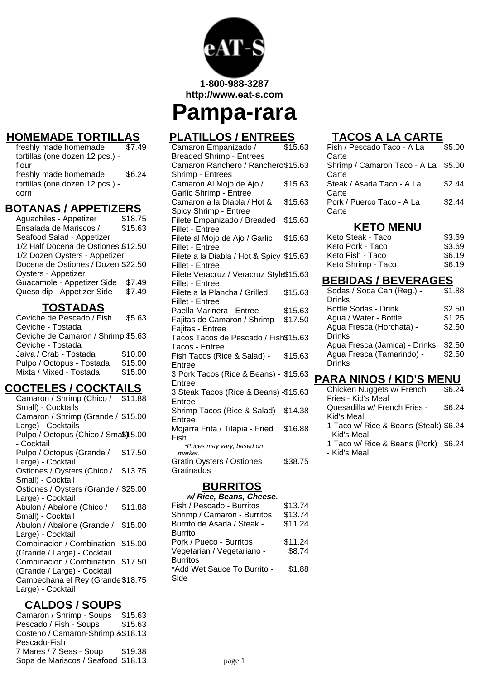

**1-800-988-3287 http://www.eat-s.com**

**Pampa-rara**

# **HOMEMADE TORTILLAS**

freshly made homemade tortillas (one dozen 12 pcs.) flour  $\overline{$7.49}$ freshly made homemade tortillas (one dozen 12 pcs.) corn \$6.24

#### **BOTANAS / APPETIZERS**

| Aguachiles - Appetizer              | \$18.75 |
|-------------------------------------|---------|
| Ensalada de Mariscos /              | \$15.63 |
| Seafood Salad - Appetizer           |         |
| 1/2 Half Docena de Ostiones \$12.50 |         |
| 1/2 Dozen Oysters - Appetizer       |         |
| Docena de Ostiones / Dozen \$22.50  |         |
| Oysters - Appetizer                 |         |
| Guacamole - Appetizer Side          | \$7.49  |
| Queso dip - Appetizer Side          | \$7.49  |
|                                     |         |

## **TOSTADAS**

| \$5.63                             |
|------------------------------------|
|                                    |
| Ceviche de Camaron / Shrimp \$5.63 |
|                                    |
| \$10.00                            |
| \$15.00                            |
| \$15.00                            |
|                                    |

## **COCTELES / COCKTAILS**

| Camaron / Shrimp (Chico / \$11.88    |         |
|--------------------------------------|---------|
| Small) - Cocktails                   |         |
| Camaron / Shrimp (Grande / \$15.00   |         |
| Large) - Cocktails                   |         |
| Pulpo / Octopus (Chico / Sma\$)15.00 |         |
| - Cocktail                           |         |
| Pulpo / Octopus (Grande /            | \$17.50 |
| Large) - Cocktail                    |         |
| Ostiones / Oysters (Chico /          | \$13.75 |
| Small) - Cocktail                    |         |
| Ostiones / Oysters (Grande / \$25.00 |         |
| Large) - Cocktail                    |         |
| Abulon / Abalone (Chico /            | \$11.88 |
| Small) - Cocktail                    |         |
| Abulon / Abalone (Grande /           | \$15.00 |
| Large) - Cocktail                    |         |
| Combinacion / Combination            | \$15.00 |
| (Grande / Large) - Cocktail          |         |
| Combinacion / Combination            | \$17.50 |
| (Grande / Large) - Cocktail          |         |
| Campechana el Rey (Grande \$18.75    |         |
| Large) - Cocktail                    |         |
|                                      |         |

# **CALDOS / SOUPS**

Camaron / Shrimp - Soups Pescado / Fish - Soups \$15.63 Costeno / Camaron-Shrimp & \$18.13 Pescado-Fish 7 Mares / 7 Seas - Soup \$19.38 Sopa de Mariscos / Seafood \$18.13

# **PLATILLOS / ENTREES**

| Camaron Empanizado /                     | \$15.63 |
|------------------------------------------|---------|
| <b>Breaded Shrimp - Entrees</b>          |         |
| Camaron Ranchero / Ranchero\$15.63       |         |
| Shrimp - Entrees                         |         |
| Camaron Al Mojo de Ajo /                 | \$15.63 |
| Garlic Shrimp - Entree                   |         |
| Camaron a la Diabla / Hot &              | \$15.63 |
| Spicy Shrimp - Entree                    |         |
| Filete Empanizado / Breaded              | \$15.63 |
| Fillet - Entree                          |         |
| Filete al Mojo de Ajo / Garlic           | \$15.63 |
| Fillet - Entree                          |         |
| Filete a la Diabla / Hot & Spicy \$15.63 |         |
| Fillet - Entree                          |         |
| Filete Veracruz / Veracruz Style\$15.63  |         |
| Fillet - Entree                          |         |
| Filete a la Plancha / Grilled            | \$15.63 |
| <b>Fillet - Entree</b>                   |         |
| Paella Marinera - Entree                 | \$15.63 |
| Fajitas de Camaron / Shrimp              | \$17.50 |
| Fajitas - Entree                         |         |
| Tacos Tacos de Pescado / Fish\$15.63     |         |
| Tacos - Entree                           |         |
| Fish Tacos (Rice & Salad) -<br>Entree    | \$15.63 |
| 3 Pork Tacos (Rice & Beans) - \$15.63    |         |
| Entree                                   |         |
| 3 Steak Tacos (Rice & Beans) -\$15.63    |         |
| Entree                                   |         |
| Shrimp Tacos (Rice & Salad) - \$14.38    |         |
| Entree                                   |         |
| Mojarra Frita / Tilapia - Fried          | \$16.88 |
| Fish                                     |         |
| *Prices may vary, based on               |         |
| market.                                  |         |
| Gratin Oysters / Ostiones                | \$38.75 |
| Gratinados                               |         |
|                                          |         |

## **BURRITOS**

| \$13.74 |
|---------|
| \$13.74 |
| \$11.24 |
|         |
| \$11.24 |
| \$8.74  |
|         |
| \$1.88  |
|         |
|         |

# **TACOS A LA CARTE**

| Fish / Pescado Taco - A La                   | \$5.00 |
|----------------------------------------------|--------|
| Carte<br>Shrimp / Camaron Taco - A La \$5.00 |        |
| Carte<br>Steak / Asada Taco - A La           | \$2.44 |
| Carte<br>Pork / Puerco Taco - A La           | \$2.44 |
| Carte                                        |        |

#### **KETO MENU**

| \$3.69 |
|--------|
| \$3.69 |
| \$6.19 |
| \$6.19 |
|        |

#### **BEBIDAS / BEVERAGES**

| Sodas / Soda Can (Reg.) -     | \$1.88 |
|-------------------------------|--------|
| <b>Drinks</b>                 |        |
| Bottle Sodas - Drink          | \$2.50 |
| Agua / Water - Bottle         | \$1.25 |
| Agua Fresca (Horchata) -      | \$2.50 |
| <b>Drinks</b>                 |        |
| Agua Fresca (Jamica) - Drinks | \$2.50 |
| Agua Fresca (Tamarindo) -     | \$2.50 |
| <b>Drinks</b>                 |        |
|                               |        |

## **PARA NINOS / KID'S MENU**

| Chicken Nuggets w/ French             | \$6.24 |
|---------------------------------------|--------|
| Fries - Kid's Meal                    |        |
| Quesadilla w/ French Fries -          | \$6.24 |
| Kid's Meal                            |        |
| 1 Taco w/ Rice & Beans (Steak) \$6.24 |        |
| - Kid's Meal                          |        |
| 1 Taco w/ Rice & Beans (Pork) \$6.24  |        |
| - Kid's Meal                          |        |